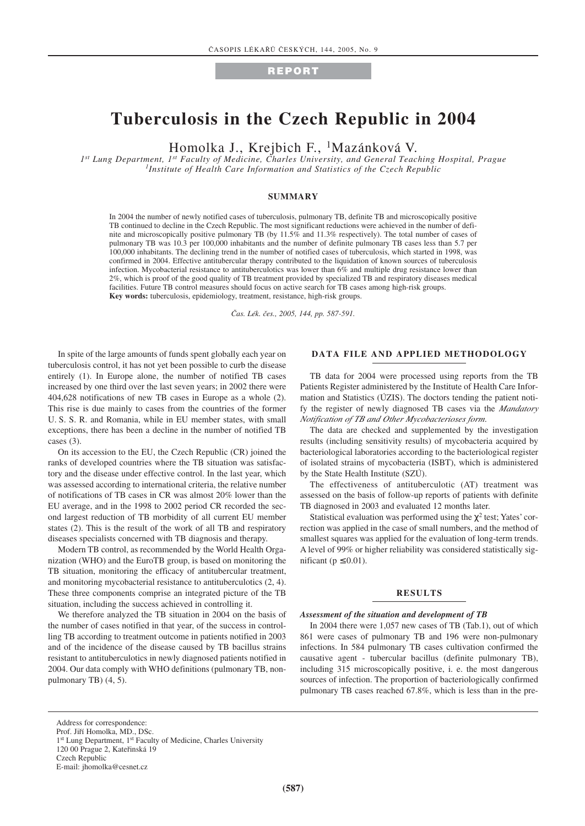# **REPORT**

# **Tuberculosis in the Czech Republic in 2004**

Homolka J., Krejbich F., 1Mazánková V.

*1st Lung Department, 1st Faculty of Medicine, Charles University, and General Teaching Hospital, Prague 1Institute of Health Care Information and Statistics of the Czech Republic*

## **SUMMARY**

In 2004 the number of newly notified cases of tuberculosis, pulmonary TB, definite TB and microscopically positive TB continued to decline in the Czech Republic. The most significant reductions were achieved in the number of definite and microscopically positive pulmonary TB (by 11.5% and 11.3% respectively). The total number of cases of pulmonary TB was 10.3 per 100,000 inhabitants and the number of definite pulmonary TB cases less than 5.7 per 100,000 inhabitants. The declining trend in the number of notified cases of tuberculosis, which started in 1998, was confirmed in 2004. Effective antitubercular therapy contributed to the liquidation of known sources of tuberculosis infection. Mycobacterial resistance to antituberculotics was lower than 6% and multiple drug resistance lower than 2%, which is proof of the good quality of TB treatment provided by specialized TB and respiratory diseases medical facilities. Future TB control measures should focus on active search for TB cases among high-risk groups. **Key words:** tuberculosis, epidemiology, treatment, resistance, high-risk groups.

*âas. Lék. ães., 2005, 144, pp. 587-591.*

In spite of the large amounts of funds spent globally each year on tuberculosis control, it has not yet been possible to curb the disease entirely (1). In Europe alone, the number of notified TB cases increased by one third over the last seven years; in 2002 there were 404,628 notifications of new TB cases in Europe as a whole (2). This rise is due mainly to cases from the countries of the former U. S. S. R. and Romania, while in EU member states, with small exceptions, there has been a decline in the number of notified TB cases (3).

On its accession to the EU, the Czech Republic (CR) joined the ranks of developed countries where the TB situation was satisfactory and the disease under effective control. In the last year, which was assessed according to international criteria, the relative number of notifications of TB cases in CR was almost 20% lower than the EU average, and in the 1998 to 2002 period CR recorded the second largest reduction of TB morbidity of all current EU member states (2). This is the result of the work of all TB and respiratory diseases specialists concerned with TB diagnosis and therapy.

Modern TB control, as recommended by the World Health Organization (WHO) and the EuroTB group, is based on monitoring the TB situation, monitoring the efficacy of antitubercular treatment, and monitoring mycobacterial resistance to antituberculotics (2, 4). These three components comprise an integrated picture of the TB situation, including the success achieved in controlling it.

We therefore analyzed the TB situation in 2004 on the basis of the number of cases notified in that year, of the success in controlling TB according to treatment outcome in patients notified in 2003 and of the incidence of the disease caused by TB bacillus strains resistant to antituberculotics in newly diagnosed patients notified in 2004. Our data comply with WHO definitions (pulmonary TB, nonpulmonary TB) (4, 5).

# **DATA FILE AND APPLIED METHODOLOGY**

TB data for 2004 were processed using reports from the TB Patients Register administered by the Institute of Health Care Information and Statistics (ÚZIS). The doctors tending the patient notify the register of newly diagnosed TB cases via the *Mandatory Notification of TB and Other Mycobacterioses form*.

The data are checked and supplemented by the investigation results (including sensitivity results) of mycobacteria acquired by bacteriological laboratories according to the bacteriological register of isolated strains of mycobacteria (ISBT), which is administered by the State Health Institute (SZÚ).

The effectiveness of antituberculotic (AT) treatment was assessed on the basis of follow-up reports of patients with definite TB diagnosed in 2003 and evaluated 12 months later.

Statistical evaluation was performed using the  $\chi^2$  test; Yates' correction was applied in the case of small numbers, and the method of smallest squares was applied for the evaluation of long-term trends. A level of 99% or higher reliability was considered statistically significant ( $p \leq 0.01$ ).

#### **RESULTS**

#### *Assessment of the situation and development of TB*

In 2004 there were 1,057 new cases of TB (Tab.1), out of which 861 were cases of pulmonary TB and 196 were non-pulmonary infections. In 584 pulmonary TB cases cultivation confirmed the causative agent - tubercular bacillus (definite pulmonary TB), including 315 microscopically positive, i. e. the most dangerous sources of infection. The proportion of bacteriologically confirmed pulmonary TB cases reached 67.8%, which is less than in the pre-

Address for correspondence:

Prof. Jifií Homolka, MD., DSc. 1<sup>st</sup> Lung Department, 1<sup>st</sup> Faculty of Medicine, Charles University

<sup>120 00</sup> Prague 2, Kateřinská 19

Czech Republic

E-mail: jhomolka@cesnet.cz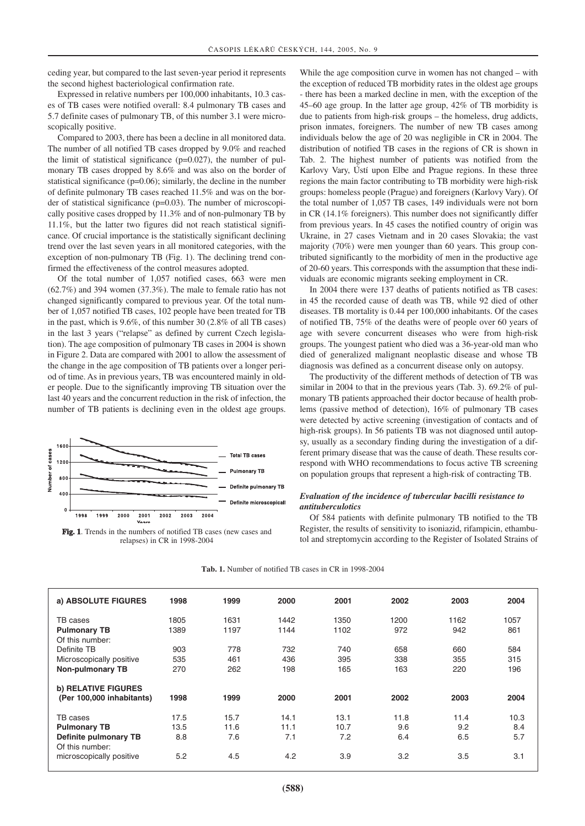ceding year, but compared to the last seven-year period it represents the second highest bacteriological confirmation rate.

Expressed in relative numbers per 100,000 inhabitants, 10.3 cases of TB cases were notified overall: 8.4 pulmonary TB cases and 5.7 definite cases of pulmonary TB, of this number 3.1 were microscopically positive.

Compared to 2003, there has been a decline in all monitored data. The number of all notified TB cases dropped by 9.0% and reached the limit of statistical significance ( $p=0.027$ ), the number of pulmonary TB cases dropped by 8.6% and was also on the border of statistical significance (p=0.06); similarly, the decline in the number of definite pulmonary TB cases reached 11.5% and was on the border of statistical significance (p=0.03). The number of microscopically positive cases dropped by 11.3% and of non-pulmonary TB by 11.1%, but the latter two figures did not reach statistical significance. Of crucial importance is the statistically significant declining trend over the last seven years in all monitored categories, with the exception of non-pulmonary TB (Fig. 1). The declining trend confirmed the effectiveness of the control measures adopted.

Of the total number of 1,057 notified cases, 663 were men (62.7%) and 394 women (37.3%). The male to female ratio has not changed significantly compared to previous year. Of the total number of 1,057 notified TB cases, 102 people have been treated for TB in the past, which is 9.6%, of this number 30 (2.8% of all TB cases) in the last 3 years ("relapse" as defined by current Czech legislation). The age composition of pulmonary TB cases in 2004 is shown in Figure 2. Data are compared with 2001 to allow the assessment of the change in the age composition of TB patients over a longer period of time. As in previous years, TB was encountered mainly in older people. Due to the significantly improving TB situation over the last 40 years and the concurrent reduction in the risk of infection, the number of TB patients is declining even in the oldest age groups.



**Fig. 1**. Trends in the numbers of notified TB cases (new cases and relapses) in CR in 1998-2004

While the age composition curve in women has not changed – with the exception of reduced TB morbidity rates in the oldest age groups

- there has been a marked decline in men, with the exception of the 45–60 age group. In the latter age group, 42% of TB morbidity is due to patients from high-risk groups – the homeless, drug addicts, prison inmates, foreigners. The number of new TB cases among individuals below the age of 20 was negligible in CR in 2004. The distribution of notified TB cases in the regions of CR is shown in Tab. 2. The highest number of patients was notified from the Karlovy Vary, Ústí upon Elbe and Prague regions. In these three regions the main factor contributing to TB morbidity were high-risk groups: homeless people (Prague) and foreigners (Karlovy Vary). Of the total number of 1,057 TB cases, 149 individuals were not born in CR (14.1% foreigners). This number does not significantly differ from previous years. In 45 cases the notified country of origin was Ukraine, in 27 cases Vietnam and in 20 cases Slovakia; the vast majority (70%) were men younger than 60 years. This group contributed significantly to the morbidity of men in the productive age of 20-60 years. This corresponds with the assumption that these individuals are economic migrants seeking employment in CR.

In 2004 there were 137 deaths of patients notified as TB cases: in 45 the recorded cause of death was TB, while 92 died of other diseases. TB mortality is 0.44 per 100,000 inhabitants. Of the cases of notified TB, 75% of the deaths were of people over 60 years of age with severe concurrent diseases who were from high-risk groups. The youngest patient who died was a 36-year-old man who died of generalized malignant neoplastic disease and whose TB diagnosis was defined as a concurrent disease only on autopsy.

The productivity of the different methods of detection of TB was similar in 2004 to that in the previous years (Tab. 3). 69.2% of pulmonary TB patients approached their doctor because of health problems (passive method of detection), 16% of pulmonary TB cases were detected by active screening (investigation of contacts and of high-risk groups). In 56 patients TB was not diagnosed until autopsy, usually as a secondary finding during the investigation of a different primary disease that was the cause of death. These results correspond with WHO recommendations to focus active TB screening on population groups that represent a high-risk of contracting TB.

## *Evaluation of the incidence of tubercular bacilli resistance to antituberculotics*

Of 584 patients with definite pulmonary TB notified to the TB Register, the results of sensitivity to isoniazid, rifampicin, ethambutol and streptomycin according to the Register of Isolated Strains of

| <b>Tab. 1.</b> Number of notified TB cases in CR in 1998-2004 |  |
|---------------------------------------------------------------|--|
|                                                               |  |

| a) ABSOLUTE FIGURES                      | 1998 | 1999 | 2000 | 2001 | 2002 | 2003 | 2004 |
|------------------------------------------|------|------|------|------|------|------|------|
| TB cases                                 | 1805 | 1631 | 1442 | 1350 | 1200 | 1162 | 1057 |
| <b>Pulmonary TB</b>                      | 1389 | 1197 | 1144 | 1102 | 972  | 942  | 861  |
| Of this number:                          |      |      |      |      |      |      |      |
| Definite TB                              | 903  | 778  | 732  | 740  | 658  | 660  | 584  |
| Microscopically positive                 | 535  | 461  | 436  | 395  | 338  | 355  | 315  |
| <b>Non-pulmonary TB</b>                  | 270  | 262  | 198  | 165  | 163  | 220  | 196  |
| b) RELATIVE FIGURES                      |      |      |      |      |      |      |      |
| (Per 100,000 inhabitants)                | 1998 | 1999 | 2000 | 2001 | 2002 | 2003 | 2004 |
| TB cases                                 | 17.5 | 15.7 | 14.1 | 13.1 | 11.8 | 11.4 | 10.3 |
| <b>Pulmonary TB</b>                      | 13.5 | 11.6 | 11.1 | 10.7 | 9.6  | 9.2  | 8.4  |
| Definite pulmonary TB<br>Of this number: | 8.8  | 7.6  | 7.1  | 7.2  | 6.4  | 6.5  | 5.7  |
| microscopically positive                 | 5.2  | 4.5  | 4.2  | 3.9  | 3.2  | 3.5  | 3.1  |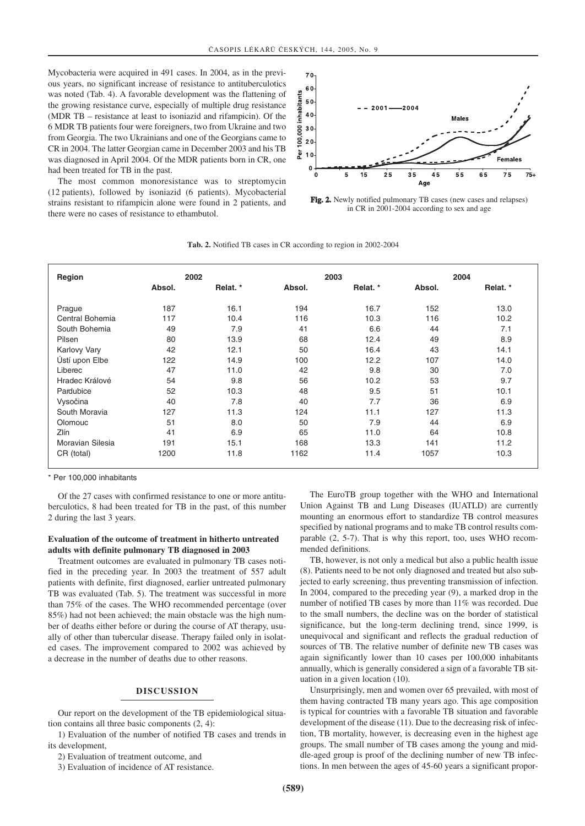Mycobacteria were acquired in 491 cases. In 2004, as in the previous years, no significant increase of resistance to antituberculotics was noted (Tab. 4). A favorable development was the flattening of the growing resistance curve, especially of multiple drug resistance (MDR TB – resistance at least to isoniazid and rifampicin). Of the 6 MDR TB patients four were foreigners, two from Ukraine and two from Georgia. The two Ukrainians and one of the Georgians came to CR in 2004. The latter Georgian came in December 2003 and his TB was diagnosed in April 2004. Of the MDR patients born in CR, one had been treated for TB in the past.

The most common monoresistance was to streptomycin (12 patients), followed by isoniazid (6 patients). Mycobacterial strains resistant to rifampicin alone were found in 2 patients, and there were no cases of resistance to ethambutol.



**Fig. 2.** Newly notified pulmonary TB cases (new cases and relapses) in CR in 2001-2004 according to sex and age

| Region           | 2002   |          |        | 2003     | 2004   |          |
|------------------|--------|----------|--------|----------|--------|----------|
|                  | Absol. | Relat. * | Absol. | Relat. * | Absol. | Relat. * |
| Prague           | 187    | 16.1     | 194    | 16.7     | 152    | 13.0     |
| Central Bohemia  | 117    | 10.4     | 116    | 10.3     | 116    | 10.2     |
| South Bohemia    | 49     | 7.9      | 41     | 6.6      | 44     | 7.1      |
| Pilsen           | 80     | 13.9     | 68     | 12.4     | 49     | 8.9      |
| Karlovy Vary     | 42     | 12.1     | 50     | 16.4     | 43     | 14.1     |
| Ústí upon Elbe   | 122    | 14.9     | 100    | 12.2     | 107    | 14.0     |
| Liberec          | 47     | 11.0     | 42     | 9.8      | 30     | 7.0      |
| Hradec Králové   | 54     | 9.8      | 56     | 10.2     | 53     | 9.7      |
| Pardubice        | 52     | 10.3     | 48     | 9.5      | 51     | 10.1     |
| Vysočina         | 40     | 7.8      | 40     | 7.7      | 36     | 6.9      |
| South Moravia    | 127    | 11.3     | 124    | 11.1     | 127    | 11.3     |
| Olomouc          | 51     | 8.0      | 50     | 7.9      | 44     | 6.9      |
| Zlín             | 41     | 6.9      | 65     | 11.0     | 64     | 10.8     |
| Moravian Silesia | 191    | 15.1     | 168    | 13.3     | 141    | 11.2     |
| CR (total)       | 1200   | 11.8     | 1162   | 11.4     | 1057   | 10.3     |

**Tab. 2.** Notified TB cases in CR according to region in 2002-2004

\* Per 100,000 inhabitants

Of the 27 cases with confirmed resistance to one or more antituberculotics, 8 had been treated for TB in the past, of this number 2 during the last 3 years.

# **Evaluation of the outcome of treatment in hitherto untreated adults with definite pulmonary TB diagnosed in 2003**

Treatment outcomes are evaluated in pulmonary TB cases notified in the preceding year. In 2003 the treatment of 557 adult patients with definite, first diagnosed, earlier untreated pulmonary TB was evaluated (Tab. 5). The treatment was successful in more than 75% of the cases. The WHO recommended percentage (over 85%) had not been achieved; the main obstacle was the high number of deaths either before or during the course of AT therapy, usually of other than tubercular disease. Therapy failed only in isolated cases. The improvement compared to 2002 was achieved by a decrease in the number of deaths due to other reasons.

# **DISCUSSION**

Our report on the development of the TB epidemiological situation contains all three basic components (2, 4):

1) Evaluation of the number of notified TB cases and trends in its development,

2) Evaluation of treatment outcome, and

3) Evaluation of incidence of AT resistance.

The EuroTB group together with the WHO and International Union Against TB and Lung Diseases (IUATLD) are currently mounting an enormous effort to standardize TB control measures specified by national programs and to make TB control results comparable (2, 5-7). That is why this report, too, uses WHO recommended definitions.

TB, however, is not only a medical but also a public health issue (8). Patients need to be not only diagnosed and treated but also subjected to early screening, thus preventing transmission of infection. In 2004, compared to the preceding year (9), a marked drop in the number of notified TB cases by more than 11% was recorded. Due to the small numbers, the decline was on the border of statistical significance, but the long-term declining trend, since 1999, is unequivocal and significant and reflects the gradual reduction of sources of TB. The relative number of definite new TB cases was again significantly lower than 10 cases per 100,000 inhabitants annually, which is generally considered a sign of a favorable TB situation in a given location (10).

Unsurprisingly, men and women over 65 prevailed, with most of them having contracted TB many years ago. This age composition is typical for countries with a favorable TB situation and favorable development of the disease (11). Due to the decreasing risk of infection, TB mortality, however, is decreasing even in the highest age groups. The small number of TB cases among the young and middle-aged group is proof of the declining number of new TB infections. In men between the ages of 45-60 years a significant propor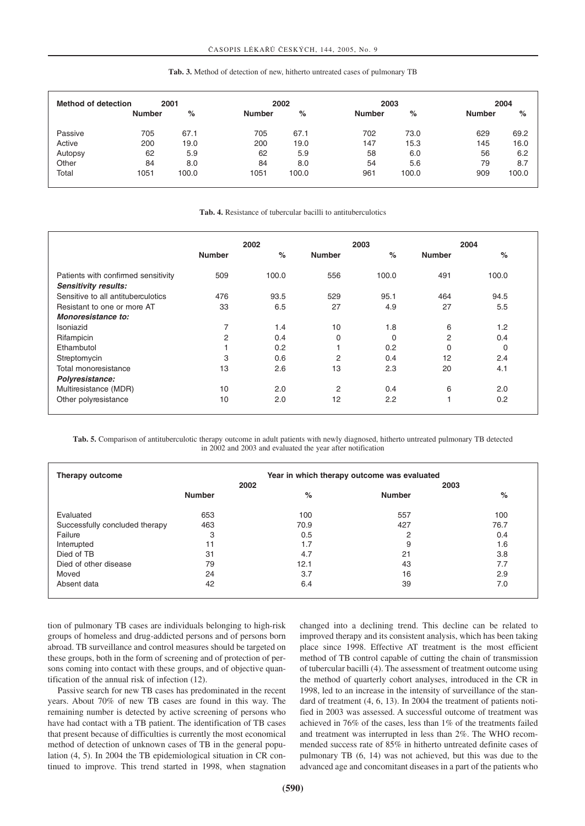**Tab. 3.** Method of detection of new, hitherto untreated cases of pulmonary TB

| <b>Method of detection</b> | 2001          |       | 2002          |       |               | 2003  |               | 2004  |  |
|----------------------------|---------------|-------|---------------|-------|---------------|-------|---------------|-------|--|
|                            | <b>Number</b> | %     | <b>Number</b> | %     | <b>Number</b> | %     | <b>Number</b> | %     |  |
| Passive                    | 705           | 67.1  | 705           | 67.1  | 702           | 73.0  | 629           | 69.2  |  |
| Active                     | 200           | 19.0  | 200           | 19.0  | 147           | 15.3  | 145           | 16.0  |  |
| Autopsy                    | 62            | 5.9   | 62            | 5.9   | 58            | 6.0   | 56            | 6.2   |  |
| Other                      | 84            | 8.0   | 84            | 8.0   | 54            | 5.6   | 79            | 8.7   |  |
| Total                      | 1051          | 100.0 | 1051          | 100.0 | 961           | 100.0 | 909           | 100.0 |  |

**Tab. 4.** Resistance of tubercular bacilli to antituberculotics

|                                     | 2002          |                  |                | 2003     | 2004           |       |
|-------------------------------------|---------------|------------------|----------------|----------|----------------|-------|
|                                     | <b>Number</b> | %                | <b>Number</b>  | %        | <b>Number</b>  | $\%$  |
| Patients with confirmed sensitivity | 509           | 100.0            | 556            | 100.0    | 491            | 100.0 |
| <b>Sensitivity results:</b>         |               |                  |                |          |                |       |
| Sensitive to all antituberculotics  | 476           | 93.5             | 529            | 95.1     | 464            | 94.5  |
| Resistant to one or more AT         | 33            | 6.5              | 27             | 4.9      | 27             | 5.5   |
| Monoresistance to:                  |               |                  |                |          |                |       |
| Isoniazid                           | 7             | 1.4              | 10             | 1.8      | 6              | 1.2   |
| Rifampicin                          | 2             | 0.4              | 0              | $\Omega$ | $\overline{c}$ | 0.4   |
| Ethambutol                          |               | 0.2 <sub>0</sub> |                | 0.2      | $\Omega$       | 0     |
| Streptomycin                        | 3             | 0.6              | $\overline{2}$ | 0.4      | 12             | 2.4   |
| Total monoresistance                | 13            | 2.6              | 13             | 2.3      | 20             | 4.1   |
| Polyresistance:                     |               |                  |                |          |                |       |
| Multiresistance (MDR)               | 10            | 2.0              | 2              | 0.4      | 6              | 2.0   |
| Other polyresistance                | 10            | 2.0              | 12             | 2.2      | ٠              | 0.2   |

**Tab. 5.** Comparison of antituberculotic therapy outcome in adult patients with newly diagnosed, hitherto untreated pulmonary TB detected in 2002 and 2003 and evaluated the year after notification

| Therapy outcome                | Year in which therapy outcome was evaluated |      |               |      |  |
|--------------------------------|---------------------------------------------|------|---------------|------|--|
|                                |                                             | 2002 |               | 2003 |  |
|                                | <b>Number</b>                               | $\%$ | <b>Number</b> | $\%$ |  |
| Evaluated                      | 653                                         | 100  | 557           | 100  |  |
| Successfully concluded therapy | 463                                         | 70.9 | 427           | 76.7 |  |
| Failure                        | 3                                           | 0.5  | 2             | 0.4  |  |
| Interrupted                    | 11                                          | 1.7  | 9             | 1.6  |  |
| Died of TB                     | 31                                          | 4.7  | 21            | 3.8  |  |
| Died of other disease          | 79                                          | 12.1 | 43            | 7.7  |  |
| Moved                          | 24                                          | 3.7  | 16            | 2.9  |  |
| Absent data                    | 42                                          | 6.4  | 39            | 7.0  |  |

tion of pulmonary TB cases are individuals belonging to high-risk groups of homeless and drug-addicted persons and of persons born abroad. TB surveillance and control measures should be targeted on these groups, both in the form of screening and of protection of persons coming into contact with these groups, and of objective quantification of the annual risk of infection (12).

Passive search for new TB cases has predominated in the recent years. About 70% of new TB cases are found in this way. The remaining number is detected by active screening of persons who have had contact with a TB patient. The identification of TB cases that present because of difficulties is currently the most economical method of detection of unknown cases of TB in the general population (4, 5). In 2004 the TB epidemiological situation in CR continued to improve. This trend started in 1998, when stagnation changed into a declining trend. This decline can be related to improved therapy and its consistent analysis, which has been taking place since 1998. Effective AT treatment is the most efficient method of TB control capable of cutting the chain of transmission of tubercular bacilli (4). The assessment of treatment outcome using the method of quarterly cohort analyses, introduced in the CR in 1998, led to an increase in the intensity of surveillance of the standard of treatment (4, 6, 13). In 2004 the treatment of patients notified in 2003 was assessed. A successful outcome of treatment was achieved in 76% of the cases, less than 1% of the treatments failed and treatment was interrupted in less than 2%. The WHO recommended success rate of 85% in hitherto untreated definite cases of pulmonary TB (6, 14) was not achieved, but this was due to the advanced age and concomitant diseases in a part of the patients who